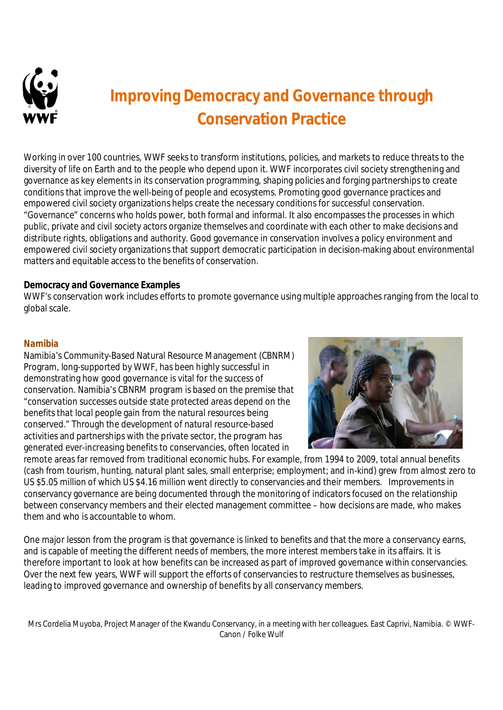

# **Improving Democracy and Governance through Conservation Practice**

Working in over 100 countries, WWF seeks to transform institutions, policies, and markets to reduce threats to the diversity of life on Earth and to the people who depend upon it. WWF incorporates civil society strengthening and governance as key elements in its conservation programming, shaping policies and forging partnerships to create conditions that improve the well-being of people and ecosystems. Promoting good governance practices and empowered civil society organizations helps create the necessary conditions for successful conservation. "Governance" concerns who holds power, both formal and informal. It also encompasses the processes in which public, private and civil society actors organize themselves and coordinate with each other to make decisions and distribute rights, obligations and authority. Good governance in conservation involves a policy environment and empowered civil society organizations that support democratic participation in decision-making about environmental matters and equitable access to the benefits of conservation.

# **Democracy and Governance Examples**

WWF's conservation work includes efforts to promote governance using multiple approaches ranging from the local to global scale.

### *Namibia*

Namibia's Community-Based Natural Resource Management (CBNRM) Program, long-supported by WWF, has been highly successful in demonstrating how good governance is vital for the success of conservation. Namibia's CBNRM program is based on the premise that "conservation successes outside state protected areas depend on the benefits that local people gain from the natural resources being conserved." Through the development of natural resource-based activities and partnerships with the private sector, the program has generated ever-increasing benefits to conservancies, often located in



remote areas far removed from traditional economic hubs. For example, from 1994 to 2009, total annual benefits (cash from tourism, hunting, natural plant sales, small enterprise; employment; and in-kind) grew from almost zero to US \$5.05 million of which US \$4.16 million went directly to conservancies and their members. Improvements in conservancy governance are being documented through the monitoring of indicators focused on the relationship between conservancy members and their elected management committee – how decisions are made, who makes them and who is accountable to whom.

One major lesson from the program is that governance is linked to benefits and that the more a conservancy earns, and is capable of meeting the different needs of members, the more interest members take in its affairs. It is therefore important to look at how benefits can be increased as part of improved governance within conservancies. Over the next few years, WWF will support the efforts of conservancies to restructure themselves as businesses, leading to improved governance and ownership of benefits by all conservancy members.

Mrs Cordelia Muyoba, Project Manager of the Kwandu Conservancy, in a meeting with her colleagues. East Caprivi, Namibia. © WWF-Canon / Folke Wulf